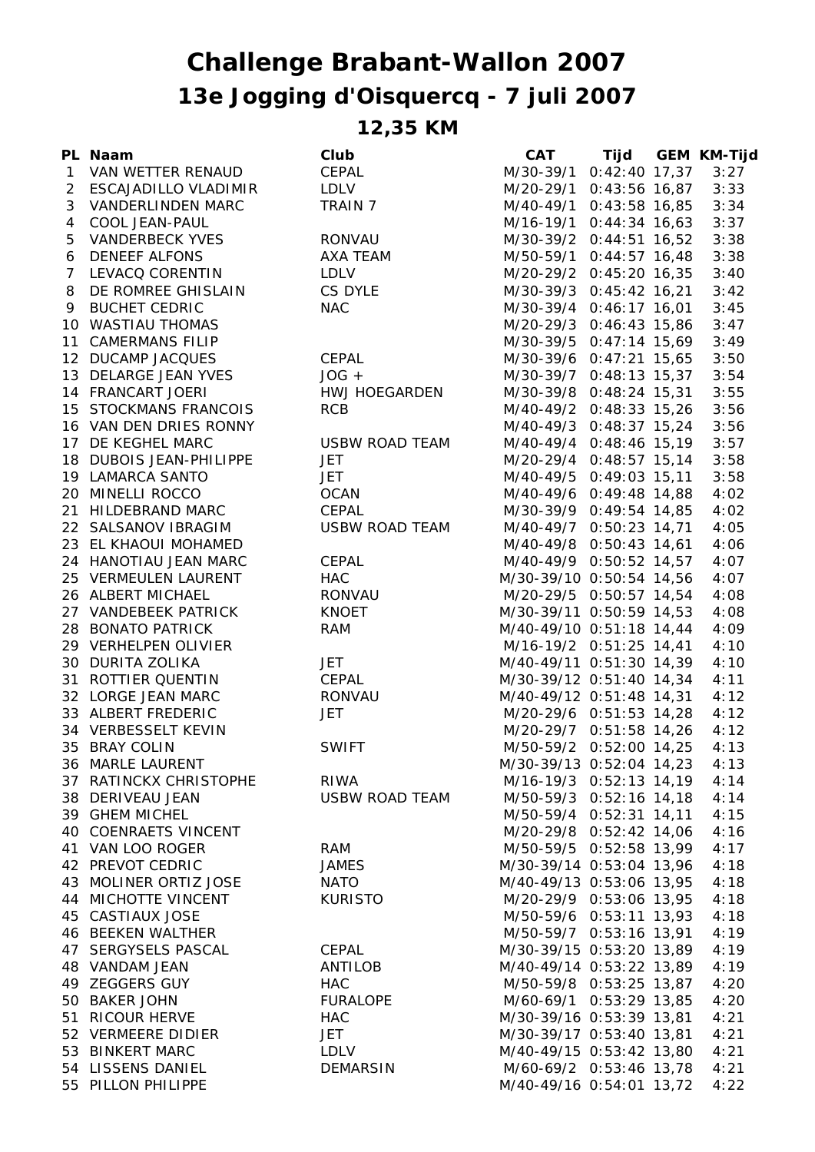## **13e Jogging d'Oisquercq - 7 juli 2007 Challenge Brabant-Wallon 2007**

**12,35 KM**

|   | PL Naam                      | Club                  | <b>CAT</b>                    | Tijd GEM KM-Tijd |      |
|---|------------------------------|-----------------------|-------------------------------|------------------|------|
|   | 1 VAN WETTER RENAUD          | CEPAL                 | M/30-39/1 0:42:40 17,37       |                  | 3:27 |
|   | 2 ESCAJADILLO VLADIMIR       | LDLV                  | M/20-29/1 0:43:56 16,87       |                  | 3:33 |
| 3 | <b>VANDERLINDEN MARC</b>     | TRAIN 7               | M/40-49/1 0:43:58 16,85       |                  | 3:34 |
|   | 4 COOL JEAN-PAUL             |                       | M/16-19/1 0:44:34 16,63       |                  | 3:37 |
| 5 | VANDERBECK YVES              | RONVAU                | M/30-39/2 0:44:51 16,52       |                  | 3:38 |
|   | 6 DENEEF ALFONS              | AXA TEAM              | M/50-59/1 0:44:57 16,48       |                  | 3:38 |
|   | 7 LEVACQ CORENTIN            | <b>LDLV</b>           | M/20-29/2 0:45:20 16,35       |                  | 3:40 |
|   | 8 DE ROMREE GHISLAIN CS DYLE |                       | M/30-39/3 0:45:42 16,21       |                  | 3:42 |
|   | 9 BUCHET CEDRIC              | <b>NAC</b>            | M/30-39/4 0:46:17 16,01       |                  | 3:45 |
|   | 10 WASTIAU THOMAS            |                       | M/20-29/3 0:46:43 15,86       |                  | 3:47 |
|   | 11 CAMERMANS FILIP           |                       | M/30-39/5 0:47:14 15,69       |                  | 3:49 |
|   | 12 DUCAMP JACQUES            | CEPAL                 | M/30-39/6 0:47:21 15,65       |                  | 3:50 |
|   | 13 DELARGE JEAN YVES         | $JOG +$               | M/30-39/7 0:48:13 15,37       |                  | 3:54 |
|   | 14 FRANCART JOERI            | HWJ HOEGARDEN         | M/30-39/8 0:48:24 15,31       |                  | 3:55 |
|   | 15 STOCKMANS FRANCOIS        | <b>RCB</b>            | M/40-49/2 0:48:33 15,26       |                  | 3:56 |
|   | 16 VAN DEN DRIES RONNY       |                       | M/40-49/3 0:48:37 15,24       |                  | 3:56 |
|   | 17 DE KEGHEL MARC            | USBW ROAD TEAM        | M/40-49/4 0:48:46 15,19       |                  | 3:57 |
|   | 18 DUBOIS JEAN-PHILIPPE      | <b>JET</b>            | M/20-29/4 0:48:57 15,14       |                  | 3:58 |
|   | 19 LAMARCA SANTO             | <b>JET</b>            | M/40-49/5 0:49:03 15,11       |                  | 3:58 |
|   | 20 MINELLI ROCCO             | OCAN                  | M/40-49/6 0:49:48 14,88       |                  | 4:02 |
|   | 21 HILDEBRAND MARC           | CEPAL                 | M/30-39/9 0:49:54 14,85       |                  | 4:02 |
|   | 22 SALSANOV IBRAGIM          | USBW ROAD TEAM        | M/40-49/7 0:50:23 14,71       |                  | 4:05 |
|   | 23 EL KHAOUI MOHAMED         |                       | M/40-49/8 0:50:43 14,61       |                  | 4:06 |
|   | 24 HANOTIAU JEAN MARC        | CEPAL                 | M/40-49/9 0:50:52 14,57       |                  | 4:07 |
|   | 25 VERMEULEN LAURENT         | <b>HAC</b>            | M/30-39/10 0:50:54 14,56      |                  | 4:07 |
|   | 26 ALBERT MICHAEL            | RONVAU                | M/20-29/5 0:50:57 14,54       |                  | 4:08 |
|   | 27 VANDEBEEK PATRICK         | <b>KNOET</b>          | M/30-39/11 0:50:59 14,53      |                  | 4:08 |
|   | 28 BONATO PATRICK            | <b>RAM</b>            | M/40-49/10 0:51:18 14,44      |                  | 4:09 |
|   | 29 VERHELPEN OLIVIER         |                       | M/16-19/2 0:51:25 14,41       |                  | 4:10 |
|   | 30 DURITA ZOLIKA             | <b>JET</b>            | M/40-49/11 0:51:30 14,39      |                  | 4:10 |
|   | 31 ROTTIER QUENTIN           | CEPAL                 | M/30-39/12 0:51:40 14,34      |                  | 4:11 |
|   | 32 LORGE JEAN MARC           | RONVAU                | M/40-49/12 0:51:48 14,31      |                  | 4:12 |
|   | 33 ALBERT FREDERIC           | <b>JET</b>            | M/20-29/6 0:51:53 14,28       |                  | 4:12 |
|   | 34 VERBESSELT KEVIN          |                       | M/20-29/7 0:51:58 14,26       |                  | 4:12 |
|   | 35 BRAY COLIN                | <b>SWIFT</b>          | M/50-59/2 0:52:00 14,25       |                  | 4:13 |
|   | 36 MARLE LAURENT             |                       | M/30-39/13 0:52:04 14,23 4:13 |                  |      |
|   | 37 RATINCKX CHRISTOPHE       | RIWA                  | M/16-19/3 0:52:13 14,19       |                  | 4:14 |
|   | 38 DERIVEAU JEAN             | <b>USBW ROAD TEAM</b> | M/50-59/3 0:52:16 14,18       |                  | 4:14 |
|   | 39 GHEM MICHEL               |                       | M/50-59/4 0:52:31 14,11       |                  | 4:15 |
|   | 40 COENRAETS VINCENT         |                       | M/20-29/8 0:52:42 14,06       |                  | 4:16 |
|   | 41 VAN LOO ROGER             | RAM                   | M/50-59/5 0:52:58 13,99       |                  | 4:17 |
|   | 42 PREVOT CEDRIC             | <b>JAMES</b>          | M/30-39/14 0:53:04 13,96      |                  | 4:18 |
|   | 43 MOLINER ORTIZ JOSE        | <b>NATO</b>           | M/40-49/13 0:53:06 13,95      |                  | 4:18 |
|   | 44 MICHOTTE VINCENT          | <b>KURISTO</b>        | M/20-29/9 0:53:06 13,95       |                  | 4:18 |
|   | 45 CASTIAUX JOSE             |                       | M/50-59/6 0:53:11 13,93       |                  | 4:18 |
|   | 46 BEEKEN WALTHER            |                       | M/50-59/7 0:53:16 13,91       |                  | 4:19 |
|   | 47 SERGYSELS PASCAL          | CEPAL                 | M/30-39/15 0:53:20 13,89      |                  | 4:19 |
|   | 48 VANDAM JEAN               | ANTILOB               | M/40-49/14 0:53:22 13,89      |                  | 4:19 |
|   | 49 ZEGGERS GUY               | <b>HAC</b>            | M/50-59/8 0:53:25 13,87       |                  | 4:20 |
|   | 50 BAKER JOHN                | <b>FURALOPE</b>       | M/60-69/1 0:53:29 13,85       |                  | 4:20 |
|   | 51 RICOUR HERVE              | <b>HAC</b>            | M/30-39/16 0:53:39 13,81      |                  | 4:21 |
|   | 52 VERMEERE DIDIER           | JET                   | M/30-39/17 0:53:40 13,81      |                  | 4:21 |
|   | 53 BINKERT MARC              | LDLV                  | M/40-49/15 0:53:42 13,80      |                  | 4:21 |
|   | 54 LISSENS DANIEL            | <b>DEMARSIN</b>       | M/60-69/2 0:53:46 13,78       |                  | 4:21 |
|   | 55 PILLON PHILIPPE           |                       | M/40-49/16 0:54:01 13,72      |                  | 4:22 |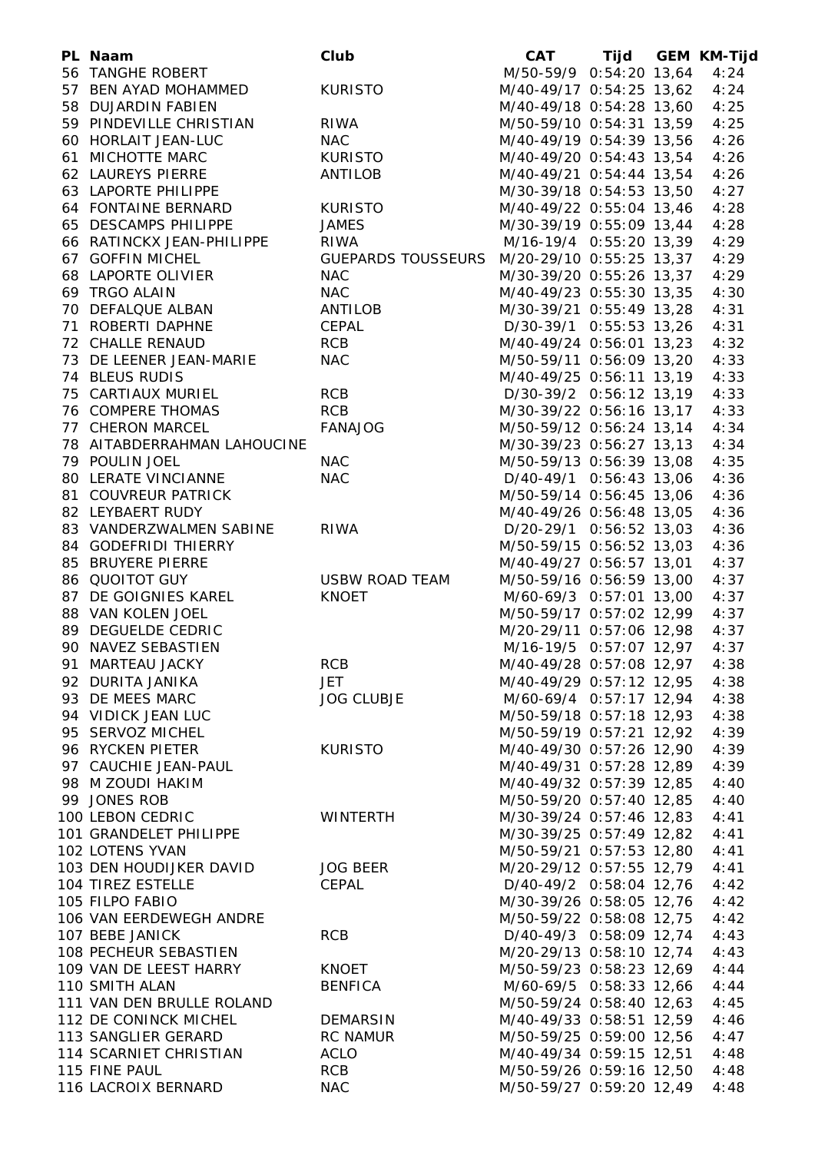| PL Naam                     | Club                                        | <b>CAT</b>                |  | Tijd GEM KM-Tijd |
|-----------------------------|---------------------------------------------|---------------------------|--|------------------|
| 56 TANGHE ROBERT            |                                             | M/50-59/9 0:54:20 13,64   |  | 4:24             |
| 57 BEN AYAD MOHAMMED        | <b>KURISTO</b>                              | M/40-49/17 0:54:25 13,62  |  | 4:24             |
| 58 DUJARDIN FABIEN          |                                             | M/40-49/18 0:54:28 13,60  |  | 4:25             |
| 59 PINDEVILLE CHRISTIAN     | <b>RIWA</b>                                 | M/50-59/10 0:54:31 13,59  |  | 4:25             |
| 60 HORLAIT JEAN-LUC         | <b>NAC</b>                                  | M/40-49/19 0:54:39 13,56  |  | 4:26             |
| 61 MICHOTTE MARC            | KURISTO                                     | M/40-49/20 0:54:43 13,54  |  | 4:26             |
| 62 LAUREYS PIERRE           | ANTILOB                                     | M/40-49/21 0:54:44 13,54  |  | 4:26             |
| 63 LAPORTE PHILIPPE         |                                             | M/30-39/18 0:54:53 13,50  |  | 4:27             |
| 64 FONTAINE BERNARD         | <b>KURISTO</b>                              | M/40-49/22 0:55:04 13,46  |  | 4:28             |
| 65 DESCAMPS PHILIPPE        | <b>JAMES</b>                                | M/30-39/19 0:55:09 13,44  |  | 4:28             |
| 66 RATINCKX JEAN-PHILIPPE   | <b>RIWA</b>                                 | M/16-19/4 0:55:20 13,39   |  | 4:29             |
| 67 GOFFIN MICHEL            | GUEPARDS TOUSSEURS M/20-29/10 0:55:25 13,37 |                           |  | 4:29             |
| 68 LAPORTE OLIVIER          | <b>NAC</b>                                  | M/30-39/20 0:55:26 13,37  |  | 4:29             |
| 69 TRGO ALAIN               | <b>NAC</b>                                  | M/40-49/23 0:55:30 13,35  |  | 4:30             |
| 70 DEFALQUE ALBAN           | ANTILOB                                     | M/30-39/21 0:55:49 13,28  |  | 4:31             |
| 71 ROBERTI DAPHNE           | CEPAL                                       | D/30-39/1 0:55:53 13,26   |  | 4:31             |
| 72 CHALLE RENAUD            | <b>RCB</b>                                  | M/40-49/24 0:56:01 13,23  |  | 4:32             |
| 73 DE LEENER JEAN-MARIE     | <b>NAC</b>                                  | M/50-59/11 0:56:09 13,20  |  | 4:33             |
| 74 BLEUS RUDIS              |                                             | M/40-49/25 0:56:11 13,19  |  | 4:33             |
| 75 CARTIAUX MURIEL          | <b>RCB</b>                                  | $D/30-39/2$ 0:56:12 13,19 |  | 4:33             |
|                             |                                             |                           |  |                  |
| 76 COMPERE THOMAS           | <b>RCB</b>                                  | M/30-39/22 0:56:16 13,17  |  | 4:33             |
| 77 CHERON MARCEL            | <b>FANAJOG</b>                              | M/50-59/12 0:56:24 13,14  |  | 4:34             |
| 78 AITABDERRAHMAN LAHOUCINE |                                             | M/30-39/23 0:56:27 13,13  |  | 4:34             |
| 79 POULIN JOEL              | <b>NAC</b>                                  | M/50-59/13 0:56:39 13,08  |  | 4:35             |
| 80 LERATE VINCIANNE         | <b>NAC</b>                                  | D/40-49/1 0:56:43 13,06   |  | 4:36             |
| 81 COUVREUR PATRICK         |                                             | M/50-59/14 0:56:45 13,06  |  | 4:36             |
| 82 LEYBAERT RUDY            |                                             | M/40-49/26 0:56:48 13,05  |  | 4:36             |
| 83 VANDERZWALMEN SABINE     | <b>RIWA</b>                                 | D/20-29/1 0:56:52 13,03   |  | 4:36             |
| 84 GODEFRIDI THIERRY        |                                             | M/50-59/15 0:56:52 13,03  |  | 4:36             |
| 85 BRUYERE PIERRE           |                                             | M/40-49/27 0:56:57 13,01  |  | 4:37             |
| 86 QUOITOT GUY              | USBW ROAD TEAM                              | M/50-59/16 0:56:59 13,00  |  | 4:37             |
| 87 DE GOIGNIES KAREL        | <b>KNOET</b>                                | M/60-69/3 0:57:01 13,00   |  | 4:37             |
| 88 VAN KOLEN JOEL           |                                             | M/50-59/17 0:57:02 12,99  |  | 4:37             |
| 89 DEGUELDE CEDRIC          |                                             | M/20-29/11 0:57:06 12,98  |  | 4:37             |
| 90 NAVEZ SEBASTIEN          |                                             | M/16-19/5 0:57:07 12,97   |  | 4:37             |
| 91 MARTEAU JACKY            | RCB                                         | M/40-49/28 0:57:08 12,97  |  | 4:38             |
| 92 DURITA JANIKA            | <b>JET</b>                                  | M/40-49/29 0:57:12 12,95  |  | 4:38             |
| 93 DE MEES MARC             | <b>JOG CLUBJE</b>                           | M/60-69/4 0:57:17 12,94   |  | 4:38             |
| 94 VIDICK JEAN LUC          |                                             | M/50-59/18 0:57:18 12,93  |  | 4:38             |
| 95 SERVOZ MICHEL            |                                             | M/50-59/19 0:57:21 12,92  |  | 4:39             |
| 96 RYCKEN PIETER            | <b>KURISTO</b>                              | M/40-49/30 0:57:26 12,90  |  | 4:39             |
| 97 CAUCHIE JEAN-PAUL        |                                             | M/40-49/31 0:57:28 12,89  |  | 4:39             |
| 98 M ZOUDI HAKIM            |                                             | M/40-49/32 0:57:39 12,85  |  | 4:40             |
| 99 JONES ROB                |                                             | M/50-59/20 0:57:40 12,85  |  | 4:40             |
| 100 LEBON CEDRIC            | <b>WINTERTH</b>                             | M/30-39/24 0:57:46 12,83  |  | 4:41             |
| 101 GRANDELET PHILIPPE      |                                             | M/30-39/25 0:57:49 12,82  |  | 4:41             |
| 102 LOTENS YVAN             |                                             | M/50-59/21 0:57:53 12,80  |  | 4:41             |
| 103 DEN HOUDIJKER DAVID     | <b>JOG BEER</b>                             | M/20-29/12 0:57:55 12,79  |  | 4:41             |
| 104 TIREZ ESTELLE           | CEPAL                                       | D/40-49/2 0:58:04 12,76   |  | 4:42             |
| 105 FILPO FABIO             |                                             | M/30-39/26 0:58:05 12,76  |  | 4:42             |
| 106 VAN EERDEWEGH ANDRE     |                                             | M/50-59/22 0:58:08 12,75  |  |                  |
|                             |                                             |                           |  | 4:42             |
| 107 BEBE JANICK             | <b>RCB</b>                                  | D/40-49/3 0:58:09 12,74   |  | 4:43             |
| 108 PECHEUR SEBASTIEN       |                                             | M/20-29/13 0:58:10 12,74  |  | 4:43             |
| 109 VAN DE LEEST HARRY      | KNOET                                       | M/50-59/23 0:58:23 12,69  |  | 4:44             |
| 110 SMITH ALAN              | <b>BENFICA</b>                              | M/60-69/5 0:58:33 12,66   |  | 4:44             |
| 111 VAN DEN BRULLE ROLAND   |                                             | M/50-59/24 0:58:40 12,63  |  | 4:45             |
| 112 DE CONINCK MICHEL       | DEMARSIN                                    | M/40-49/33 0:58:51 12,59  |  | 4:46             |
| 113 SANGLIER GERARD         | RC NAMUR                                    | M/50-59/25 0:59:00 12,56  |  | 4:47             |
| 114 SCARNIET CHRISTIAN      | <b>ACLO</b>                                 | M/40-49/34 0:59:15 12,51  |  | 4:48             |
| 115 FINE PAUL               | RCB                                         | M/50-59/26 0:59:16 12,50  |  | 4:48             |
| 116 LACROIX BERNARD         | <b>NAC</b>                                  | M/50-59/27 0:59:20 12,49  |  | 4:48             |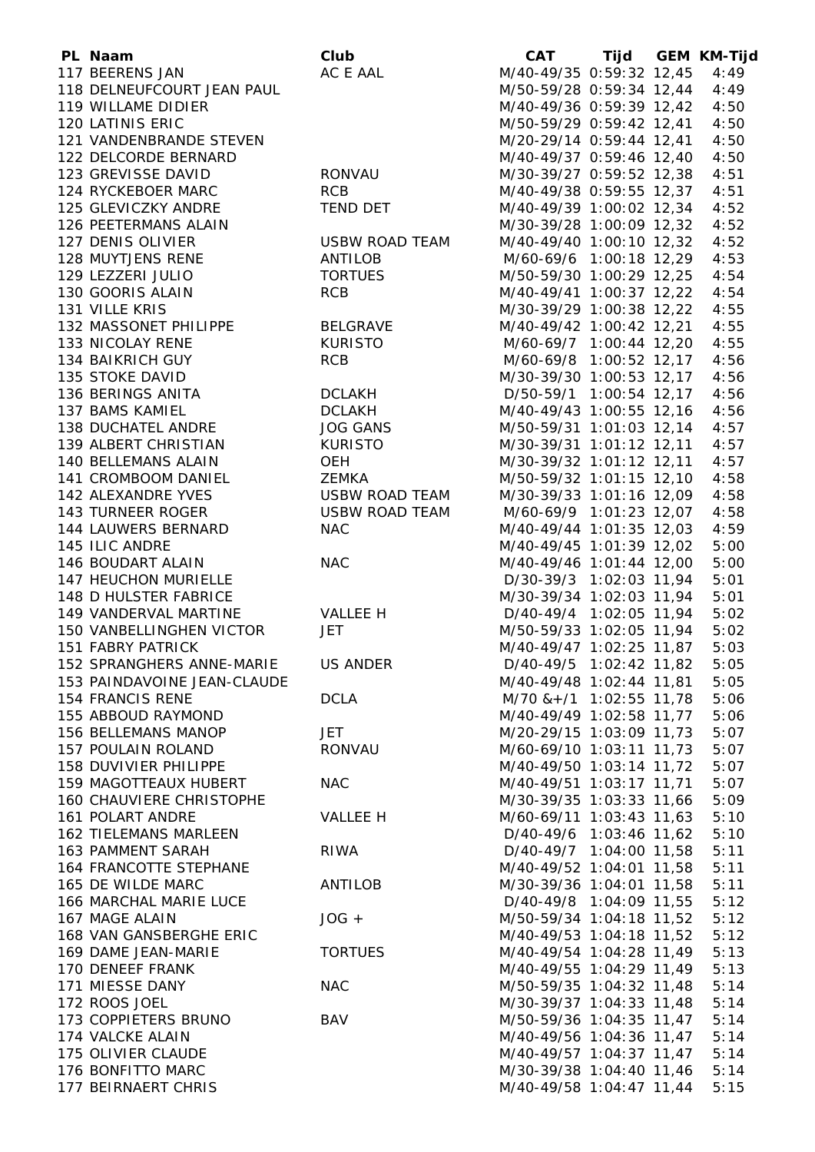| PL Naam                         | Club            | <b>CAT</b>                    |  | Tijd GEM KM-Tijd |
|---------------------------------|-----------------|-------------------------------|--|------------------|
| 117 BEERENS JAN                 | AC E AAL        | M/40-49/35 0:59:32 12,45      |  | 4:49             |
| 118 DELNEUFCOURT JEAN PAUL      |                 | M/50-59/28 0:59:34 12,44      |  | 4:49             |
| 119 WILLAME DIDIER              |                 | M/40-49/36 0:59:39 12,42      |  | 4:50             |
| 120 LATINIS ERIC                |                 | M/50-59/29 0:59:42 12,41      |  | 4:50             |
| 121 VANDENBRANDE STEVEN         |                 | M/20-29/14 0:59:44 12,41      |  | 4:50             |
| 122 DELCORDE BERNARD            |                 | M/40-49/37 0:59:46 12,40      |  | 4:50             |
| 123 GREVISSE DAVID              | <b>RONVAU</b>   | M/30-39/27 0:59:52 12,38      |  | 4:51             |
| 124 RYCKEBOER MARC              | <b>RCB</b>      | M/40-49/38 0:59:55 12,37      |  | 4:51             |
| 125 GLEVICZKY ANDRE             | TEND DET        | M/40-49/39 1:00:02 12,34      |  | 4:52             |
| 126 PEETERMANS ALAIN            |                 | M/30-39/28 1:00:09 12,32      |  | 4:52             |
| 127 DENIS OLIVIER               | USBW ROAD TEAM  | M/40-49/40 1:00:10 12,32      |  | 4:52             |
| 128 MUYTJENS RENE               | ANTILOB         | M/60-69/6 1:00:18 12,29       |  | 4:53             |
| 129 LEZZERI JULIO               | <b>TORTUES</b>  | M/50-59/30 1:00:29 12,25      |  | 4:54             |
| 130 GOORIS ALAIN                | <b>RCB</b>      | M/40-49/41 1:00:37 12,22      |  | 4:54             |
| 131 VILLE KRIS                  |                 | M/30-39/29 1:00:38 12,22      |  | 4:55             |
| 132 MASSONET PHILIPPE           | BELGRAVE        | M/40-49/42 1:00:42 12,21      |  | 4:55             |
| 133 NICOLAY RENE                | <b>KURISTO</b>  | M/60-69/7 1:00:44 12,20       |  | 4:55             |
| 134 BAIKRICH GUY                | <b>RCB</b>      | M/60-69/8 1:00:52 12,17       |  | 4:56             |
| 135 STOKE DAVID                 |                 | M/30-39/30 1:00:53 12,17      |  | 4:56             |
| 136 BERINGS ANITA               | DCLAKH          | D/50-59/1 1:00:54 12,17       |  | 4:56             |
| 137 BAMS KAMIEL                 | <b>DCLAKH</b>   | M/40-49/43 1:00:55 12,16      |  | 4:56             |
| 138 DUCHATEL ANDRE              | <b>JOG GANS</b> | M/50-59/31 1:01:03 12,14      |  | 4:57             |
| 139 ALBERT CHRISTIAN            | <b>KURISTO</b>  | M/30-39/31 1:01:12 12,11      |  | 4:57             |
| 140 BELLEMANS ALAIN             | OEH             | M/30-39/32 1:01:12 12,11      |  | 4:57             |
| 141 CROMBOOM DANIEL             | <b>ZEMKA</b>    | M/50-59/32 1:01:15 12,10      |  | 4:58             |
|                                 |                 |                               |  |                  |
| 142 ALEXANDRE YVES              | USBW ROAD TEAM  | M/30-39/33 1:01:16 12,09      |  | 4:58             |
| 143 TURNEER ROGER               | USBW ROAD TEAM  | M/60-69/9 1:01:23 12,07       |  | 4:58             |
| 144 LAUWERS BERNARD             | <b>NAC</b>      | M/40-49/44 1:01:35 12,03      |  | 4:59             |
| 145 ILIC ANDRE                  |                 | M/40-49/45 1:01:39 12,02      |  | 5:00             |
| 146 BOUDART ALAIN               | <b>NAC</b>      | M/40-49/46 1:01:44 12,00      |  | 5:00             |
| 147 HEUCHON MURIELLE            |                 | D/30-39/3 1:02:03 11,94       |  | 5:01             |
| 148 D HULSTER FABRICE           |                 | M/30-39/34 1:02:03 11,94      |  | 5:01             |
| 149 VANDERVAL MARTINE           | VALLEE H        | D/40-49/4 1:02:05 11,94       |  | 5:02             |
| 150 VANBELLINGHEN VICTOR        | JET             | M/50-59/33 1:02:05 11,94      |  | 5:02             |
| 151 FABRY PATRICK               |                 | M/40-49/47 1:02:25 11,87      |  | 5:03             |
| 152 SPRANGHERS ANNE-MARIE       | <b>US ANDER</b> | D/40-49/5 1:02:42 11,82       |  | 5:05             |
| 153 PAINDAVOINE JEAN-CLAUDE     |                 | M/40-49/48 1:02:44 11,81      |  | 5:05             |
| 154 FRANCIS RENE                | <b>DCLA</b>     | $M/70$ & + $/1$ 1:02:55 11,78 |  | 5:06             |
| 155 ABBOUD RAYMOND              |                 | M/40-49/49 1:02:58 11,77      |  | 5:06             |
| 156 BELLEMANS MANOP             | <b>JET</b>      | M/20-29/15 1:03:09 11,73      |  | 5:07             |
| 157 POULAIN ROLAND              | <b>RONVAU</b>   | M/60-69/10 1:03:11 11,73      |  | 5:07             |
| 158 DUVIVIER PHILIPPE           |                 | M/40-49/50 1:03:14 11,72      |  | 5:07             |
| 159 MAGOTTEAUX HUBERT           | <b>NAC</b>      | M/40-49/51 1:03:17 11,71      |  | 5:07             |
| <b>160 CHAUVIERE CHRISTOPHE</b> |                 | M/30-39/35 1:03:33 11,66      |  | 5:09             |
| 161 POLART ANDRE                | <b>VALLEE H</b> | M/60-69/11 1:03:43 11,63      |  | 5:10             |
| <b>162 TIELEMANS MARLEEN</b>    |                 | D/40-49/6 1:03:46 11,62       |  | 5:10             |
| 163 PAMMENT SARAH               | <b>RIWA</b>     | D/40-49/7 1:04:00 11,58       |  | 5:11             |
| <b>164 FRANCOTTE STEPHANE</b>   |                 | M/40-49/52 1:04:01 11,58      |  | 5:11             |
| 165 DE WILDE MARC               | <b>ANTILOB</b>  | M/30-39/36 1:04:01 11,58      |  | 5:11             |
| 166 MARCHAL MARIE LUCE          |                 | D/40-49/8 1:04:09 11,55       |  | 5:12             |
| 167 MAGE ALAIN                  | $JOG +$         | M/50-59/34 1:04:18 11,52      |  | 5:12             |
| 168 VAN GANSBERGHE ERIC         |                 | M/40-49/53 1:04:18 11,52      |  | 5:12             |
| 169 DAME JEAN-MARIE             | <b>TORTUES</b>  | M/40-49/54 1:04:28 11,49      |  | 5:13             |
| 170 DENEEF FRANK                |                 | M/40-49/55 1:04:29 11,49      |  | 5:13             |
| 171 MIESSE DANY                 | <b>NAC</b>      | M/50-59/35 1:04:32 11,48      |  | 5:14             |
| 172 ROOS JOEL                   |                 | M/30-39/37 1:04:33 11,48      |  | 5:14             |
| 173 COPPIETERS BRUNO            | <b>BAV</b>      | M/50-59/36 1:04:35 11,47      |  | 5:14             |
| 174 VALCKE ALAIN                |                 | M/40-49/56 1:04:36 11,47      |  | 5:14             |
| 175 OLIVIER CLAUDE              |                 | M/40-49/57 1:04:37 11,47      |  | 5:14             |
| 176 BONFITTO MARC               |                 | M/30-39/38 1:04:40 11,46      |  | 5:14             |
| 177 BEIRNAERT CHRIS             |                 | M/40-49/58 1:04:47 11,44      |  | 5:15             |
|                                 |                 |                               |  |                  |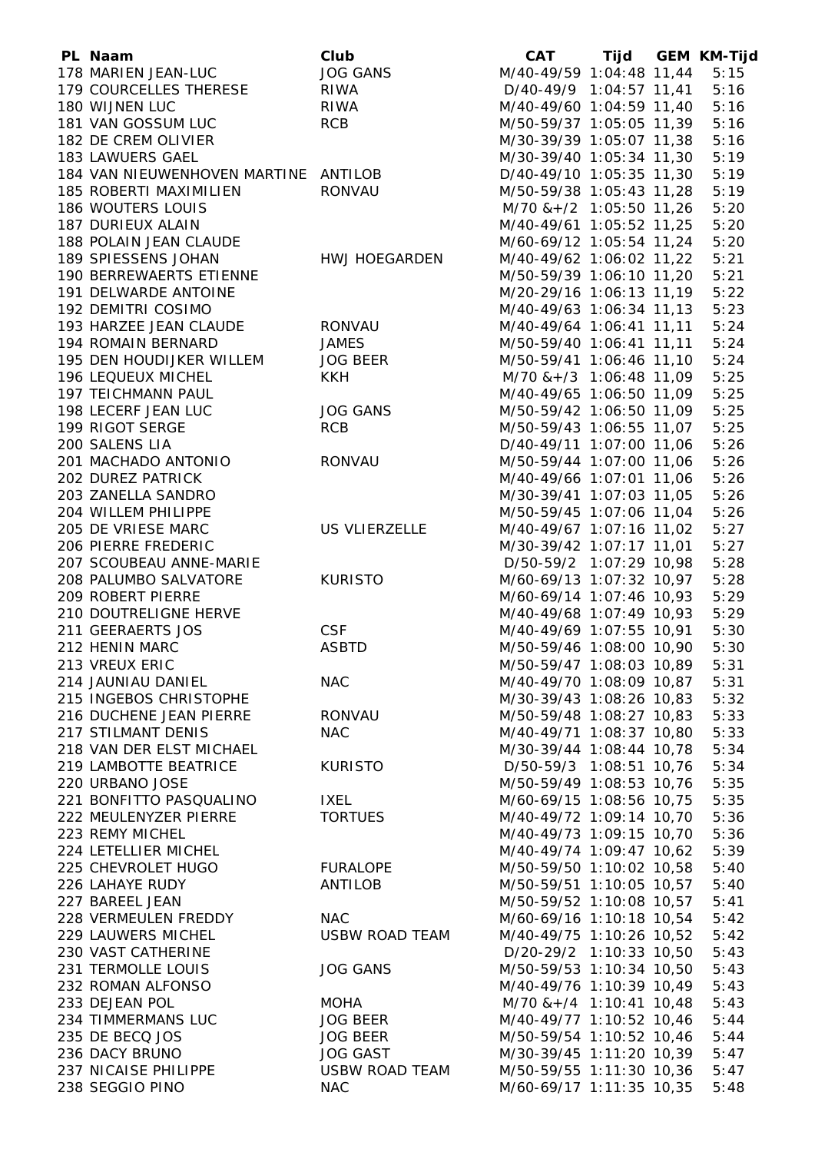| PL Naam                              | Club            | <b>CAT</b>                    |  | Tijd GEM KM-Tijd |
|--------------------------------------|-----------------|-------------------------------|--|------------------|
| 178 MARIEN JEAN-LUC                  | <b>JOG GANS</b> | M/40-49/59 1:04:48 11,44      |  | 5:15             |
| 179 COURCELLES THERESE               | <b>RIWA</b>     | D/40-49/9 1:04:57 11,41       |  | 5:16             |
| 180 WIJNEN LUC                       | <b>RIWA</b>     | M/40-49/60 1:04:59 11,40      |  | 5:16             |
| 181 VAN GOSSUM LUC                   | <b>RCB</b>      | M/50-59/37 1:05:05 11,39      |  | 5:16             |
| 182 DE CREM OLIVIER                  |                 | M/30-39/39 1:05:07 11,38      |  | 5:16             |
| 183 LAWUERS GAEL                     |                 | M/30-39/40 1:05:34 11,30      |  | 5:19             |
| 184 VAN NIEUWENHOVEN MARTINE ANTILOB |                 | D/40-49/10 1:05:35 11,30      |  | 5:19             |
| 185 ROBERTI MAXIMILIEN               | <b>RONVAU</b>   | M/50-59/38 1:05:43 11,28      |  | 5:19             |
| 186 WOUTERS LOUIS                    |                 | $M/70$ & + $/2$ 1:05:50 11,26 |  | 5:20             |
| 187 DURIEUX ALAIN                    |                 | M/40-49/61 1:05:52 11,25      |  | 5:20             |
| 188 POLAIN JEAN CLAUDE               |                 | M/60-69/12 1:05:54 11,24      |  | 5:20             |
| 189 SPIESSENS JOHAN                  | HWJ HOEGARDEN   | M/40-49/62 1:06:02 11,22      |  | 5:21             |
| 190 BERREWAERTS ETIENNE              |                 | M/50-59/39 1:06:10 11,20      |  | 5:21             |
| 191 DELWARDE ANTOINE                 |                 | M/20-29/16 1:06:13 11,19      |  | 5:22             |
| 192 DEMITRI COSIMO                   |                 | M/40-49/63 1:06:34 11,13      |  | 5:23             |
| 193 HARZEE JEAN CLAUDE               | RONVAU          | M/40-49/64 1:06:41 11,11      |  | 5:24             |
| 194 ROMAIN BERNARD                   | <b>JAMES</b>    | M/50-59/40 1:06:41 11,11      |  | 5:24             |
| 195 DEN HOUDIJKER WILLEM             | <b>JOG BEER</b> | M/50-59/41 1:06:46 11,10      |  | 5:24             |
| <b>196 LEQUEUX MICHEL</b>            | <b>KKH</b>      | $M/70$ & + $/3$ 1:06:48 11,09 |  | 5:25             |
| 197 TEICHMANN PAUL                   |                 | M/40-49/65 1:06:50 11,09      |  | 5:25             |
| 198 LECERF JEAN LUC                  | <b>JOG GANS</b> | M/50-59/42 1:06:50 11,09      |  | 5:25             |
| 199 RIGOT SERGE                      | <b>RCB</b>      | M/50-59/43 1:06:55 11,07      |  | 5:25             |
| 200 SALENS LIA                       |                 | D/40-49/11 1:07:00 11,06      |  | 5:26             |
| 201 MACHADO ANTONIO                  | <b>RONVAU</b>   | M/50-59/44 1:07:00 11,06      |  | 5:26             |
| 202 DUREZ PATRICK                    |                 | M/40-49/66 1:07:01 11,06      |  | 5:26             |
| 203 ZANELLA SANDRO                   |                 | M/30-39/41 1:07:03 11,05      |  | 5:26             |
| 204 WILLEM PHILIPPE                  |                 | M/50-59/45 1:07:06 11,04      |  | 5:26             |
| 205 DE VRIESE MARC                   | US VLIERZELLE   | M/40-49/67 1:07:16 11,02      |  | 5:27             |
| 206 PIERRE FREDERIC                  |                 | M/30-39/42 1:07:17 11,01      |  | 5:27             |
| 207 SCOUBEAU ANNE-MARIE              |                 | D/50-59/2 1:07:29 10,98       |  | 5:28             |
| 208 PALUMBO SALVATORE                | <b>KURISTO</b>  | M/60-69/13 1:07:32 10,97      |  | 5:28             |
| 209 ROBERT PIERRE                    |                 | M/60-69/14 1:07:46 10,93      |  | 5:29             |
| 210 DOUTRELIGNE HERVE                |                 | M/40-49/68 1:07:49 10,93      |  | 5:29             |
| 211 GEERAERTS JOS                    | <b>CSF</b>      | M/40-49/69 1:07:55 10,91      |  | 5:30             |
| 212 HENIN MARC                       | <b>ASBTD</b>    | M/50-59/46 1:08:00 10,90      |  | 5:30             |
| 213 VREUX ERIC                       |                 | M/50-59/47 1:08:03 10,89      |  | 5:31             |
| 214 JAUNIAU DANIEL                   | <b>NAC</b>      | M/40-49/70 1:08:09 10,87      |  | 5:31             |
| 215 INGEBOS CHRISTOPHE               |                 | M/30-39/43 1:08:26 10,83      |  | 5:32             |
| 216 DUCHENE JEAN PIERRE              | <b>RONVAU</b>   | M/50-59/48 1:08:27 10,83      |  | 5:33             |
| 217 STILMANT DENIS                   | <b>NAC</b>      | M/40-49/71 1:08:37 10,80      |  | 5:33             |
| 218 VAN DER ELST MICHAEL             |                 | M/30-39/44 1:08:44 10,78      |  | 5:34             |
| 219 LAMBOTTE BEATRICE                | <b>KURISTO</b>  | D/50-59/3 1:08:51 10,76       |  | 5:34             |
| 220 URBANO JOSE                      |                 | M/50-59/49 1:08:53 10,76      |  | 5:35             |
| 221 BONFITTO PASQUALINO              | <b>IXEL</b>     | M/60-69/15 1:08:56 10,75      |  | 5:35             |
| 222 MEULENYZER PIERRE                | <b>TORTUES</b>  | M/40-49/72 1:09:14 10,70      |  | 5:36             |
| 223 REMY MICHEL                      |                 | M/40-49/73 1:09:15 10,70      |  | 5:36             |
| 224 LETELLIER MICHEL                 |                 | M/40-49/74 1:09:47 10,62      |  | 5:39             |
| 225 CHEVROLET HUGO                   | <b>FURALOPE</b> | M/50-59/50 1:10:02 10,58      |  | 5:40             |
| 226 LAHAYE RUDY                      | <b>ANTILOB</b>  | M/50-59/51 1:10:05 10,57      |  | 5:40             |
| 227 BAREEL JEAN                      |                 | M/50-59/52 1:10:08 10,57      |  | 5:41             |
| 228 VERMEULEN FREDDY                 | <b>NAC</b>      | M/60-69/16 1:10:18 10,54      |  | 5:42             |
| 229 LAUWERS MICHEL                   | USBW ROAD TEAM  | M/40-49/75 1:10:26 10,52      |  | 5:42             |
| 230 VAST CATHERINE                   |                 | D/20-29/2 1:10:33 10,50       |  | 5:43             |
| 231 TERMOLLE LOUIS                   | <b>JOG GANS</b> | M/50-59/53 1:10:34 10,50      |  | 5:43             |
| 232 ROMAN ALFONSO                    |                 | M/40-49/76 1:10:39 10,49      |  | 5:43             |
| 233 DEJEAN POL                       | <b>MOHA</b>     | $M/70$ & + $/4$ 1:10:41 10,48 |  | 5:43             |
| 234 TIMMERMANS LUC                   | JOG BEER        | M/40-49/77 1:10:52 10,46      |  | 5:44             |
| 235 DE BECQ JOS                      | <b>JOG BEER</b> | M/50-59/54 1:10:52 10,46      |  | 5:44             |
| 236 DACY BRUNO                       | <b>JOG GAST</b> | M/30-39/45 1:11:20 10,39      |  | 5:47             |
| 237 NICAISE PHILIPPE                 | USBW ROAD TEAM  | M/50-59/55 1:11:30 10,36      |  | 5:47             |
| 238 SEGGIO PINO                      | <b>NAC</b>      | M/60-69/17 1:11:35 10,35      |  | 5:48             |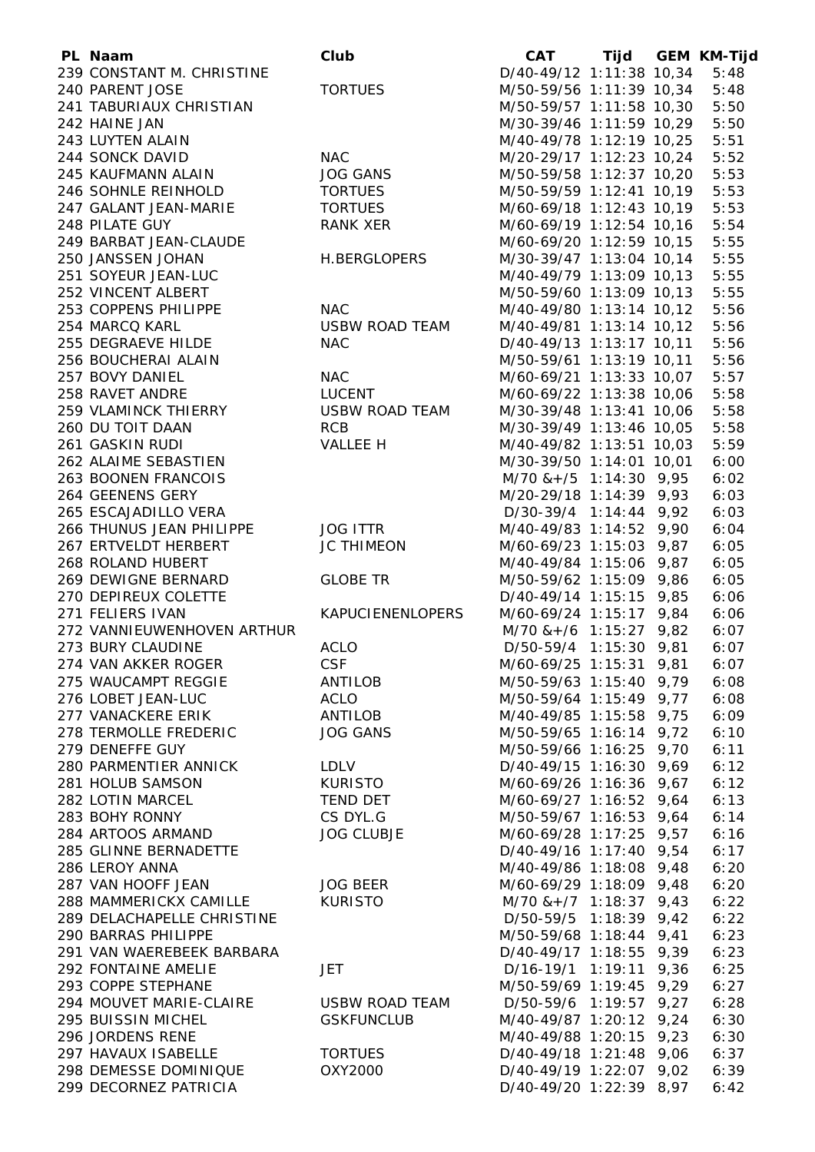| PL Naam                    | Club                    | <b>CAT</b>                   |      | Tijd GEM KM-Tijd |
|----------------------------|-------------------------|------------------------------|------|------------------|
| 239 CONSTANT M. CHRISTINE  |                         | D/40-49/12 1:11:38 10,34     |      | 5:48             |
| 240 PARENT JOSE            | <b>TORTUES</b>          | M/50-59/56 1:11:39 10,34     |      | 5:48             |
| 241 TABURIAUX CHRISTIAN    |                         | M/50-59/57 1:11:58 10,30     |      | 5:50             |
| 242 HAINE JAN              |                         | M/30-39/46 1:11:59 10,29     |      | 5:50             |
| 243 LUYTEN ALAIN           |                         | M/40-49/78 1:12:19 10,25     |      | 5:51             |
| 244 SONCK DAVID            | <b>NAC</b>              | M/20-29/17 1:12:23 10,24     |      | 5:52             |
| 245 KAUFMANN ALAIN         | <b>JOG GANS</b>         | M/50-59/58 1:12:37 10,20     |      | 5:53             |
| 246 SOHNLE REINHOLD        | <b>TORTUES</b>          | M/50-59/59 1:12:41 10,19     |      | 5:53             |
| 247 GALANT JEAN-MARIE      | <b>TORTUES</b>          | M/60-69/18 1:12:43 10,19     |      | 5:53             |
| 248 PILATE GUY             | RANK XER                | M/60-69/19 1:12:54 10,16     |      | 5:54             |
| 249 BARBAT JEAN-CLAUDE     |                         | M/60-69/20 1:12:59 10,15     |      | 5:55             |
| 250 JANSSEN JOHAN          | <b>H.BERGLOPERS</b>     | M/30-39/47 1:13:04 10,14     |      | 5:55             |
| 251 SOYEUR JEAN-LUC        |                         | M/40-49/79 1:13:09 10,13     |      | 5:55             |
| 252 VINCENT ALBERT         |                         | M/50-59/60 1:13:09 10,13     |      | 5:55             |
| 253 COPPENS PHILIPPE       | <b>NAC</b>              | M/40-49/80 1:13:14 10,12     |      | 5:56             |
| 254 MARCQ KARL             | <b>USBW ROAD TEAM</b>   | M/40-49/81 1:13:14 10,12     |      | 5:56             |
| 255 DEGRAEVE HILDE         | <b>NAC</b>              | D/40-49/13 1:13:17 10,11     |      | 5:56             |
| 256 BOUCHERAI ALAIN        |                         | M/50-59/61 1:13:19 10,11     |      | 5:56             |
| 257 BOVY DANIEL            | <b>NAC</b>              | M/60-69/21 1:13:33 10,07     |      | 5:57             |
| 258 RAVET ANDRE            | LUCENT                  | M/60-69/22 1:13:38 10,06     |      | 5:58             |
| 259 VLAMINCK THIERRY       | <b>USBW ROAD TEAM</b>   | M/30-39/48 1:13:41 10,06     |      | 5:58             |
|                            | <b>RCB</b>              |                              |      |                  |
| 260 DU TOIT DAAN           |                         | M/30-39/49 1:13:46 10,05     |      | 5:58             |
| 261 GASKIN RUDI            | VALLEE H                | M/40-49/82 1:13:51 10,03     |      | 5:59             |
| 262 ALAIME SEBASTIEN       |                         | M/30-39/50 1:14:01 10,01     |      | 6:00             |
| 263 BOONEN FRANCOIS        |                         | $M/70$ & + /5 1:14:30 9,95   |      | 6:02             |
| 264 GEENENS GERY           |                         | M/20-29/18 1:14:39 9,93      |      | 6:03             |
| 265 ESCAJADILLO VERA       |                         | D/30-39/4 1:14:44 9,92       |      | 6:03             |
| 266 THUNUS JEAN PHILIPPE   | <b>JOG ITTR</b>         | M/40-49/83 1:14:52 9,90      |      | 6:04             |
| 267 ERTVELDT HERBERT       | <b>JC THIMEON</b>       | M/60-69/23 1:15:03 9,87      |      | 6:05             |
| 268 ROLAND HUBERT          |                         | M/40-49/84 1:15:06 9,87      |      | 6:05             |
| 269 DEWIGNE BERNARD        | <b>GLOBE TR</b>         | M/50-59/62 1:15:09 9,86      |      | 6:05             |
| 270 DEPIREUX COLETTE       |                         | D/40-49/14 1:15:15 9,85      |      | 6:06             |
| 271 FELIERS IVAN           | <b>KAPUCIENENLOPERS</b> | M/60-69/24 1:15:17 9,84      |      | 6:06             |
| 272 VANNIEUWENHOVEN ARTHUR |                         | $M/70$ & + /6 1:15:27 9,82   |      | 6:07             |
| 273 BURY CLAUDINE          | <b>ACLO</b>             | D/50-59/4 1:15:30 9,81       |      | 6:07             |
| 274 VAN AKKER ROGER        | CSF                     | M/60-69/25 1:15:31 9,81      |      | 6:07             |
| 275 WAUCAMPT REGGIE        | ANTILOB                 | M/50-59/63 1:15:40 9,79      |      | 6:08             |
| 276 LOBET JEAN-LUC         | <b>ACLO</b>             | M/50-59/64 1:15:49 9,77      |      | 6:08             |
| 277 VANACKERE ERIK         | ANTILOB                 | M/40-49/85 1:15:58 9,75      |      | 6:09             |
| 278 TERMOLLE FREDERIC      | <b>JOG GANS</b>         | M/50-59/65 1:16:14 9,72      |      | 6:10             |
| 279 DENEFFE GUY            |                         | M/50-59/66 1:16:25 9,70      |      | 6:11             |
| 280 PARMENTIER ANNICK      | LDLV                    | D/40-49/15 1:16:30 9,69      |      | 6:12             |
| 281 HOLUB SAMSON           | <b>KURISTO</b>          | M/60-69/26 1:16:36 9,67      |      | 6:12             |
| 282 LOTIN MARCEL           | <b>TEND DET</b>         | M/60-69/27 1:16:52 9,64      |      | 6:13             |
| 283 BOHY RONNY             | CS DYL.G                | M/50-59/67 1:16:53 9,64      |      | 6:14             |
| 284 ARTOOS ARMAND          | <b>JOG CLUBJE</b>       | M/60-69/28 1:17:25 9,57      |      | 6:16             |
| 285 GLINNE BERNADETTE      |                         | D/40-49/16 1:17:40 9,54      |      | 6:17             |
| 286 LEROY ANNA             |                         | M/40-49/86 1:18:08 9,48      |      | 6:20             |
| 287 VAN HOOFF JEAN         | <b>JOG BEER</b>         | M/60-69/29 1:18:09 9,48      |      | 6:20             |
| 288 MAMMERICKX CAMILLE     | <b>KURISTO</b>          | $M/70$ & + $/7$ 1:18:37 9,43 |      | 6:22             |
| 289 DELACHAPELLE CHRISTINE |                         | D/50-59/5 1:18:39 9,42       |      | 6:22             |
| 290 BARRAS PHILIPPE        |                         | M/50-59/68 1:18:44           | 9,41 | 6:23             |
| 291 VAN WAEREBEEK BARBARA  |                         | $D/40-49/17$ 1:18:55         | 9,39 | 6:23             |
| 292 FONTAINE AMELIE        | <b>JET</b>              | $D/16-19/1$ 1:19:11          | 9,36 | 6:25             |
| 293 COPPE STEPHANE         |                         | M/50-59/69 1:19:45 9,29      |      | 6:27             |
| 294 MOUVET MARIE-CLAIRE    | <b>USBW ROAD TEAM</b>   | D/50-59/6 1:19:57 9,27       |      | 6:28             |
| 295 BUISSIN MICHEL         | <b>GSKFUNCLUB</b>       | M/40-49/87 1:20:12 9,24      |      | 6:30             |
| 296 JORDENS RENE           |                         | M/40-49/88 1:20:15 9,23      |      | 6:30             |
| 297 HAVAUX ISABELLE        | <b>TORTUES</b>          | D/40-49/18 1:21:48 9,06      |      | 6:37             |
| 298 DEMESSE DOMINIQUE      | OXY2000                 | D/40-49/19 1:22:07 9,02      |      | 6:39             |
| 299 DECORNEZ PATRICIA      |                         | D/40-49/20 1:22:39 8,97      |      | 6:42             |
|                            |                         |                              |      |                  |